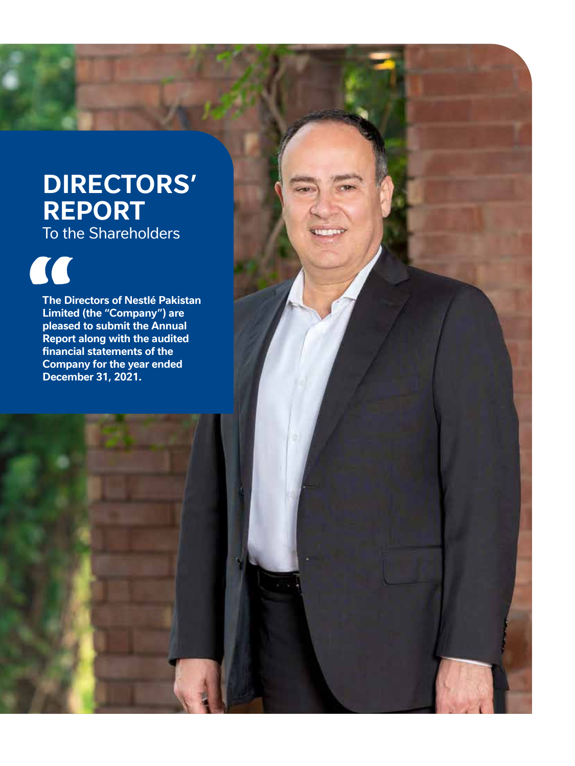# **DIRECTORS' REPORT** To the Shareholders

"

**The Directors of Nestlé Pakistan Limited (the "Company") are pleased to submit the Annual Report along with the audited financial statements of the Company for the year ended December 31, 2021.**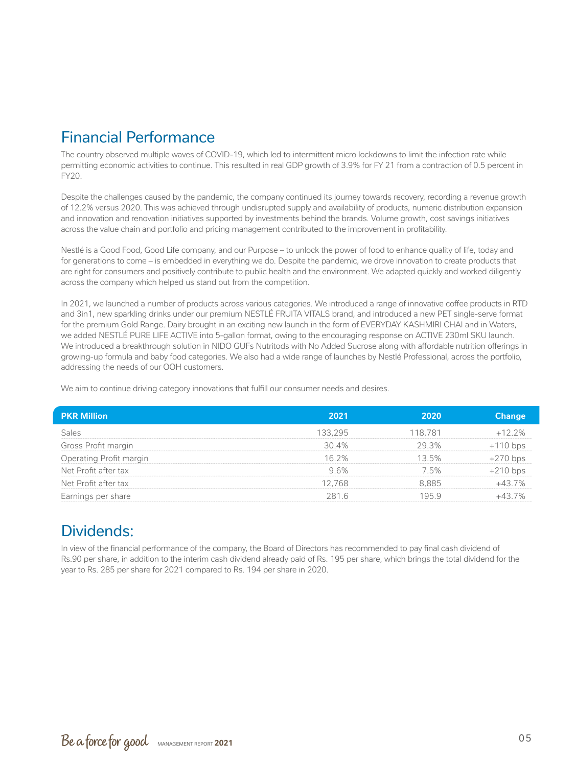# Financial Performance

The country observed multiple waves of COVID-19, which led to intermittent micro lockdowns to limit the infection rate while permitting economic activities to continue. This resulted in real GDP growth of 3.9% for FY 21 from a contraction of 0.5 percent in FY20.

Despite the challenges caused by the pandemic, the company continued its journey towards recovery, recording a revenue growth of 12.2% versus 2020. This was achieved through undisrupted supply and availability of products, numeric distribution expansion and innovation and renovation initiatives supported by investments behind the brands. Volume growth, cost savings initiatives across the value chain and portfolio and pricing management contributed to the improvement in profitability.

Nestlé is a Good Food, Good Life company, and our Purpose – to unlock the power of food to enhance quality of life, today and for generations to come – is embedded in everything we do. Despite the pandemic, we drove innovation to create products that are right for consumers and positively contribute to public health and the environment. We adapted quickly and worked diligently across the company which helped us stand out from the competition.

In 2021, we launched a number of products across various categories. We introduced a range of innovative coffee products in RTD and 3in1, new sparkling drinks under our premium NESTLÉ FRUITA VITALS brand, and introduced a new PET single-serve format for the premium Gold Range. Dairy brought in an exciting new launch in the form of EVERYDAY KASHMIRI CHAI and in Waters, we added NESTLÉ PURE LIFE ACTIVE into 5-gallon format, owing to the encouraging response on ACTIVE 230ml SKU launch. We introduced a breakthrough solution in NIDO GUFs Nutritods with No Added Sucrose along with affordable nutrition offerings in growing-up formula and baby food categories. We also had a wide range of launches by Nestlé Professional, across the portfolio, addressing the needs of our OOH customers.

We aim to continue driving category innovations that fulfill our consumer needs and desires.

| <b>PKR Million</b>      | 2021    | 2020    | <b>Change</b> |
|-------------------------|---------|---------|---------------|
| Sales                   | 133,295 | 118.781 | $+12.2%$      |
| Gross Profit margin     | 30.4%   | 29.3%   | $+110$ bps    |
| Operating Profit margin | 16.2%   | 13.5%   | $+270$ bps    |
| Net Profit after tax    | 9.6%    | 7.5%    | $+210$ bps    |
| Net Profit after tax    | 12.768  | 8.885   | $+43.7%$      |
| Earnings per share      | 281.6   | 195.9   | $+43.7%$      |

# Dividends:

In view of the financial performance of the company, the Board of Directors has recommended to pay final cash dividend of Rs.90 per share, in addition to the interim cash dividend already paid of Rs. 195 per share, which brings the total dividend for the year to Rs. 285 per share for 2021 compared to Rs. 194 per share in 2020.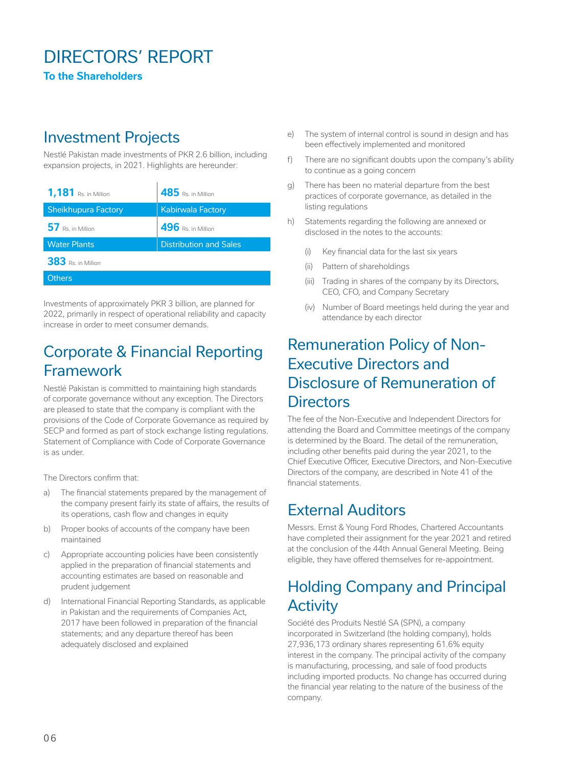# DIRECTORS' REPORT

**To the Shareholders**

#### Investment Projects

Nestlé Pakistan made investments of PKR 2.6 billion, including expansion projects, in 2021. Highlights are hereunder:

| <b>1,181</b> Rs. in Million | 485 Rs. in Million            |
|-----------------------------|-------------------------------|
| <b>Sheikhupura Factory</b>  | <b>Kabirwala Factory</b>      |
| 57 Rs. in Million           | 496 Rs. in Million            |
| <b>Water Plants</b>         | <b>Distribution and Sales</b> |
| 383 Rs. in Million          |                               |
| <b>Others</b>               |                               |

Investments of approximately PKR 3 billion, are planned for 2022, primarily in respect of operational reliability and capacity increase in order to meet consumer demands.

### Corporate & Financial Reporting Framework

Nestlé Pakistan is committed to maintaining high standards of corporate governance without any exception. The Directors are pleased to state that the company is compliant with the provisions of the Code of Corporate Governance as required by SECP and formed as part of stock exchange listing regulations. Statement of Compliance with Code of Corporate Governance is as under.

The Directors confirm that:

- a) The financial statements prepared by the management of the company present fairly its state of affairs, the results of its operations, cash flow and changes in equity
- b) Proper books of accounts of the company have been maintained
- c) Appropriate accounting policies have been consistently applied in the preparation of financial statements and accounting estimates are based on reasonable and prudent judgement
- d) International Financial Reporting Standards, as applicable in Pakistan and the requirements of Companies Act, 2017 have been followed in preparation of the financial statements; and any departure thereof has been adequately disclosed and explained
- e) The system of internal control is sound in design and has been effectively implemented and monitored
- f) There are no significant doubts upon the company's ability to continue as a going concern
- g) There has been no material departure from the best practices of corporate governance, as detailed in the listing regulations
- h) Statements regarding the following are annexed or disclosed in the notes to the accounts:
	- (i) Key financial data for the last six years
	- (ii) Pattern of shareholdings
	- (iii) Trading in shares of the company by its Directors, CEO, CFO, and Company Secretary
	- (iv) Number of Board meetings held during the year and attendance by each director

#### Remuneration Policy of Non-Executive Directors and Disclosure of Remuneration of **Directors**

The fee of the Non-Executive and Independent Directors for attending the Board and Committee meetings of the company is determined by the Board. The detail of the remuneration, including other benefits paid during the year 2021, to the Chief Executive Officer, Executive Directors, and Non-Executive Directors of the company, are described in Note 41 of the financial statements.

#### External Auditors

Messrs. Ernst & Young Ford Rhodes, Chartered Accountants have completed their assignment for the year 2021 and retired at the conclusion of the 44th Annual General Meeting. Being eligible, they have offered themselves for re-appointment.

#### Holding Company and Principal **Activity**

Société des Produits Nestlé SA (SPN), a company incorporated in Switzerland (the holding company), holds 27,936,173 ordinary shares representing 61.6% equity interest in the company. The principal activity of the company is manufacturing, processing, and sale of food products including imported products. No change has occurred during the financial year relating to the nature of the business of the company.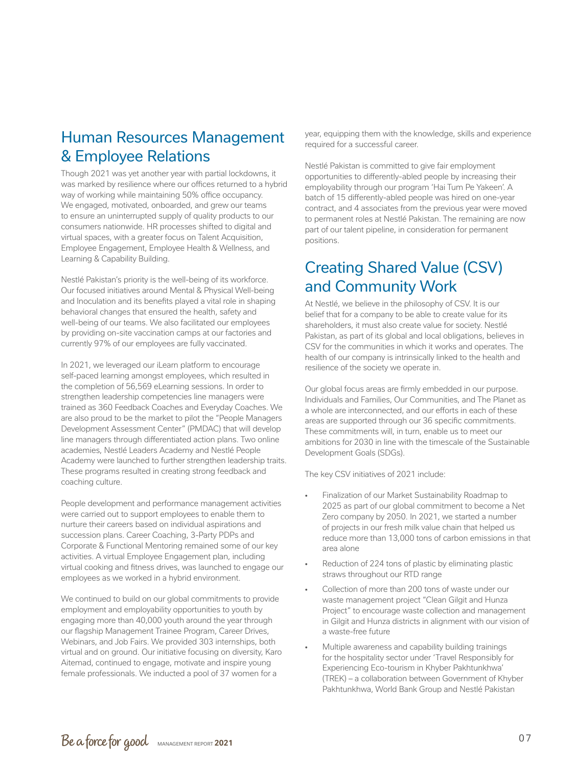#### Human Resources Management & Employee Relations

Though 2021 was yet another year with partial lockdowns, it was marked by resilience where our offices returned to a hybrid way of working while maintaining 50% office occupancy. We engaged, motivated, onboarded, and grew our teams to ensure an uninterrupted supply of quality products to our consumers nationwide. HR processes shifted to digital and virtual spaces, with a greater focus on Talent Acquisition, Employee Engagement, Employee Health & Wellness, and Learning & Capability Building.

Nestlé Pakistan's priority is the well-being of its workforce. Our focused initiatives around Mental & Physical Well-being and Inoculation and its benefits played a vital role in shaping behavioral changes that ensured the health, safety and well-being of our teams. We also facilitated our employees by providing on-site vaccination camps at our factories and currently 97% of our employees are fully vaccinated.

In 2021, we leveraged our iLearn platform to encourage self-paced learning amongst employees, which resulted in the completion of 56,569 eLearning sessions. In order to strengthen leadership competencies line managers were trained as 360 Feedback Coaches and Everyday Coaches. We are also proud to be the market to pilot the "People Managers Development Assessment Center" (PMDAC) that will develop line managers through differentiated action plans. Two online academies, Nestlé Leaders Academy and Nestlé People Academy were launched to further strengthen leadership traits. These programs resulted in creating strong feedback and coaching culture.

People development and performance management activities were carried out to support employees to enable them to nurture their careers based on individual aspirations and succession plans. Career Coaching, 3-Party PDPs and Corporate & Functional Mentoring remained some of our key activities. A virtual Employee Engagement plan, including virtual cooking and fitness drives, was launched to engage our employees as we worked in a hybrid environment.

We continued to build on our global commitments to provide employment and employability opportunities to youth by engaging more than 40,000 youth around the year through our flagship Management Trainee Program, Career Drives, Webinars, and Job Fairs. We provided 303 internships, both virtual and on ground. Our initiative focusing on diversity, Karo Aitemad, continued to engage, motivate and inspire young female professionals. We inducted a pool of 37 women for a

year, equipping them with the knowledge, skills and experience required for a successful career.

Nestlé Pakistan is committed to give fair employment opportunities to differently-abled people by increasing their employability through our program 'Hai Tum Pe Yakeen'. A batch of 15 differently-abled people was hired on one-year contract, and 4 associates from the previous year were moved to permanent roles at Nestlé Pakistan. The remaining are now part of our talent pipeline, in consideration for permanent positions.

#### Creating Shared Value (CSV) and Community Work

At Nestlé, we believe in the philosophy of CSV. It is our belief that for a company to be able to create value for its shareholders, it must also create value for society. Nestlé Pakistan, as part of its global and local obligations, believes in CSV for the communities in which it works and operates. The health of our company is intrinsically linked to the health and resilience of the society we operate in.

Our global focus areas are firmly embedded in our purpose. Individuals and Families, Our Communities, and The Planet as a whole are interconnected, and our efforts in each of these areas are supported through our 36 specific commitments. These commitments will, in turn, enable us to meet our ambitions for 2030 in line with the timescale of the Sustainable Development Goals (SDGs).

The key CSV initiatives of 2021 include:

- Finalization of our Market Sustainability Roadmap to 2025 as part of our global commitment to become a Net Zero company by 2050. In 2021, we started a number of projects in our fresh milk value chain that helped us reduce more than 13,000 tons of carbon emissions in that area alone
- Reduction of 224 tons of plastic by eliminating plastic straws throughout our RTD range
- Collection of more than 200 tons of waste under our waste management project "Clean Gilgit and Hunza Project" to encourage waste collection and management in Gilgit and Hunza districts in alignment with our vision of a waste-free future
- Multiple awareness and capability building trainings for the hospitality sector under 'Travel Responsibly for Experiencing Eco-tourism in Khyber Pakhtunkhwa' (TREK) – a collaboration between Government of Khyber Pakhtunkhwa, World Bank Group and Nestlé Pakistan